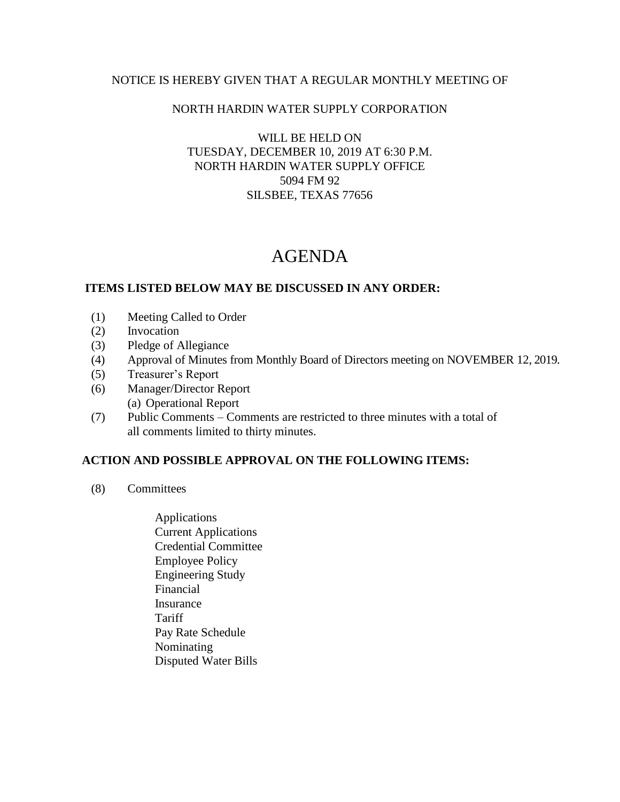## NOTICE IS HEREBY GIVEN THAT A REGULAR MONTHLY MEETING OF

### NORTH HARDIN WATER SUPPLY CORPORATION

### WILL BE HELD ON TUESDAY, DECEMBER 10, 2019 AT 6:30 P.M. NORTH HARDIN WATER SUPPLY OFFICE 5094 FM 92 SILSBEE, TEXAS 77656

# AGENDA

#### **ITEMS LISTED BELOW MAY BE DISCUSSED IN ANY ORDER:**

- (1) Meeting Called to Order
- (2) Invocation
- (3) Pledge of Allegiance
- (4) Approval of Minutes from Monthly Board of Directors meeting on NOVEMBER 12, 2019.
- (5) Treasurer's Report
- (6) Manager/Director Report (a) Operational Report
- (7) Public Comments Comments are restricted to three minutes with a total of all comments limited to thirty minutes.

## **ACTION AND POSSIBLE APPROVAL ON THE FOLLOWING ITEMS:**

- (8) Committees
	- Applications Current Applications Credential Committee Employee Policy Engineering Study Financial Insurance **Tariff**  Pay Rate Schedule Nominating Disputed Water Bills